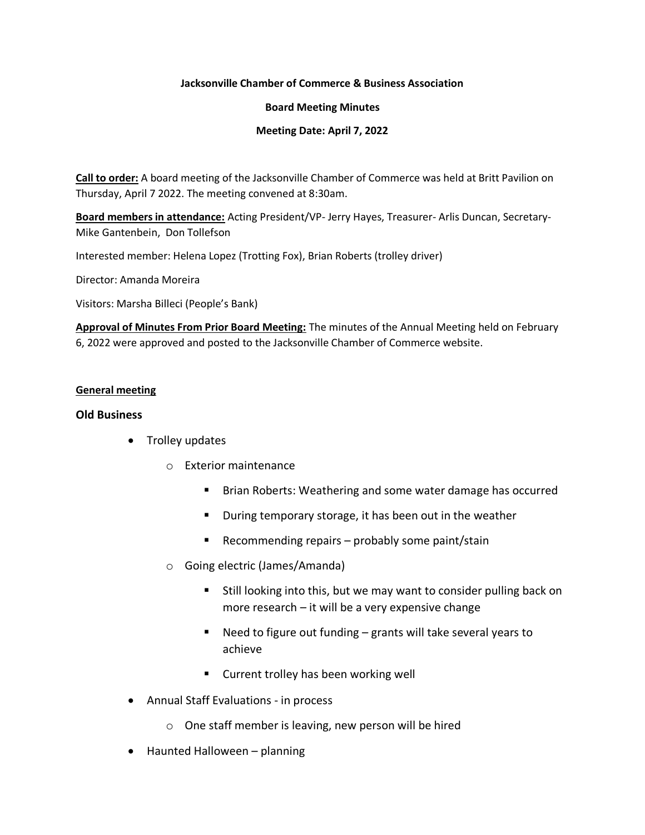#### **Jacksonville Chamber of Commerce & Business Association**

#### **Board Meeting Minutes**

### **Meeting Date: April 7, 2022**

**Call to order:** A board meeting of the Jacksonville Chamber of Commerce was held at Britt Pavilion on Thursday, April 7 2022. The meeting convened at 8:30am.

**Board members in attendance:** Acting President/VP- Jerry Hayes, Treasurer- Arlis Duncan, Secretary-Mike Gantenbein, Don Tollefson

Interested member: Helena Lopez (Trotting Fox), Brian Roberts (trolley driver)

Director: Amanda Moreira

Visitors: Marsha Billeci (People's Bank)

**Approval of Minutes From Prior Board Meeting:** The minutes of the Annual Meeting held on February 6, 2022 were approved and posted to the Jacksonville Chamber of Commerce website.

#### **General meeting**

#### **Old Business**

- Trolley updates
	- o Exterior maintenance
		- Brian Roberts: Weathering and some water damage has occurred
		- During temporary storage, it has been out in the weather
		- Recommending repairs probably some paint/stain
	- o Going electric (James/Amanda)
		- Still looking into this, but we may want to consider pulling back on more research – it will be a very expensive change
		- Need to figure out funding  $-$  grants will take several years to achieve
		- Current trolley has been working well
- Annual Staff Evaluations in process
	- o One staff member is leaving, new person will be hired
- Haunted Halloween planning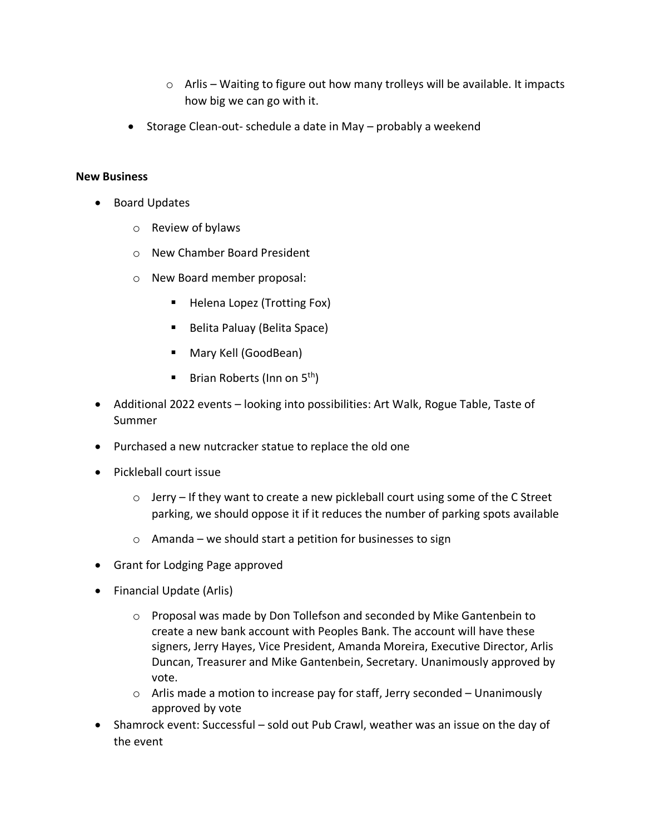- $\circ$  Arlis Waiting to figure out how many trolleys will be available. It impacts how big we can go with it.
- Storage Clean-out- schedule a date in May probably a weekend

# **New Business**

- Board Updates
	- o Review of bylaws
	- o New Chamber Board President
	- o New Board member proposal:
		- Helena Lopez (Trotting Fox)
		- Belita Paluay (Belita Space)
		- Mary Kell (GoodBean)
		- **E** Brian Roberts (Inn on  $5<sup>th</sup>$ )
- Additional 2022 events looking into possibilities: Art Walk, Rogue Table, Taste of Summer
- Purchased a new nutcracker statue to replace the old one
- Pickleball court issue
	- $\circ$  Jerry If they want to create a new pickleball court using some of the C Street parking, we should oppose it if it reduces the number of parking spots available
	- $\circ$  Amanda we should start a petition for businesses to sign
- Grant for Lodging Page approved
- Financial Update (Arlis)
	- $\circ$  Proposal was made by Don Tollefson and seconded by Mike Gantenbein to create a new bank account with Peoples Bank. The account will have these signers, Jerry Hayes, Vice President, Amanda Moreira, Executive Director, Arlis Duncan, Treasurer and Mike Gantenbein, Secretary. Unanimously approved by vote.
	- $\circ$  Arlis made a motion to increase pay for staff, Jerry seconded Unanimously approved by vote
- Shamrock event: Successful sold out Pub Crawl, weather was an issue on the day of the event